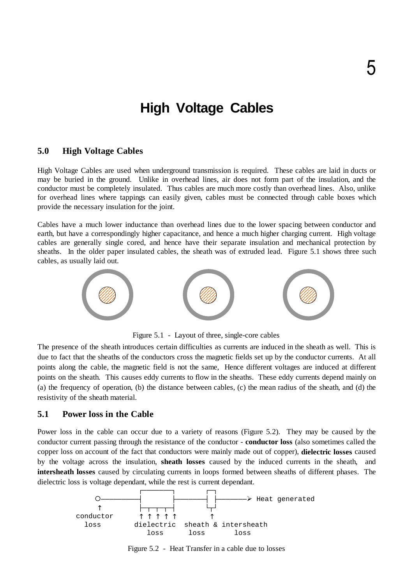# **High Voltage Cables**

# **5.0 High Voltage Cables**

High Voltage Cables are used when underground transmission is required. These cables are laid in ducts or may be buried in the ground. Unlike in overhead lines, air does not form part of the insulation, and the conductor must be completely insulated. Thus cables are much more costly than overhead lines. Also, unlike for overhead lines where tappings can easily given, cables must be connected through cable boxes which provide the necessary insulation for the joint.

Cables have a much lower inductance than overhead lines due to the lower spacing between conductor and earth, but have a correspondingly higher capacitance, and hence a much higher charging current. High voltage cables are generally single cored, and hence have their separate insulation and mechanical protection by sheaths. In the older paper insulated cables, the sheath was of extruded lead. Figure 5.1 shows three such cables, as usually laid out.



Figure 5.1 - Layout of three, single-core cables

The presence of the sheath introduces certain difficulties as currents are induced in the sheath as well. This is due to fact that the sheaths of the conductors cross the magnetic fields set up by the conductor currents. At all points along the cable, the magnetic field is not the same, Hence different voltages are induced at different points on the sheath. This causes eddy currents to flow in the sheaths. These eddy currents depend mainly on (a) the frequency of operation, (b) the distance between cables, (c) the mean radius of the sheath, and (d) the resistivity of the sheath material.

# **5.1 Power loss in the Cable**

Power loss in the cable can occur due to a variety of reasons (Figure 5.2). They may be caused by the conductor current passing through the resistance of the conductor - **conductor loss** (also sometimes called the copper loss on account of the fact that conductors were mainly made out of copper), **dielectric losses** caused by the voltage across the insulation, **sheath losses** caused by the induced currents in the sheath, and **intersheath losses** caused by circulating currents in loops formed between sheaths of different phases. The dielectric loss is voltage dependant, while the rest is current dependant.



Figure 5.2 - Heat Transfer in a cable due to losses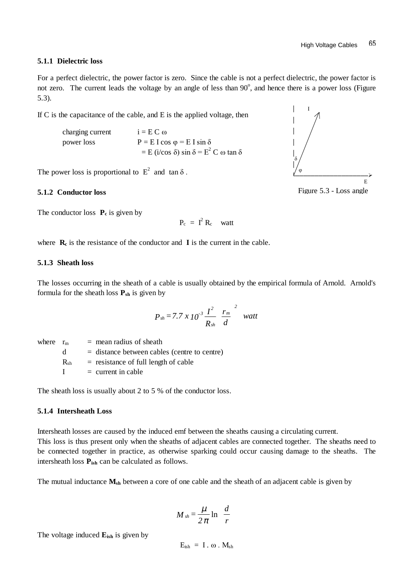#### **5.1.1 Dielectric loss**

For a perfect dielectric, the power factor is zero. Since the cable is not a perfect dielectric, the power factor is not zero. The current leads the voltage by an angle of less than  $90^\circ$ , and hence there is a power loss (Figure 5.3).

If  $C$  is the capacitance of the cable, and  $E$  is the applied voltage, then

charging current  $i = E C \omega$ power loss  $P = E I \cos \varphi = E I \sin \delta$  $=$  E (i/cos  $\delta$ ) sin  $\delta$  = E<sup>2</sup> C  $\omega$  tan  $\delta$ 

The power loss is proportional to  $E^2$  and tan  $\delta$ .

#### **5.1.2 Conductor loss**

The conductor loss  $P_c$  is given by

$$
\mathbf{P}_{\rm c} = \mathbf{I}^2 \, \mathbf{R}_{\rm c} \quad \text{watt}
$$

where  $\mathbf{R}_c$  is the resistance of the conductor and **I** is the current in the cable.

#### **5.1.3 Sheath loss**

The losses occurring in the sheath of a cable is usually obtained by the empirical formula of Arnold. Arnold's formula for the sheath loss  $P_{sh}$  is given by

$$
P_{sh} = 7.7 \times 10^{-3} \frac{I^2}{R_{sh}} \left(\frac{r_m}{d}\right)^2 \text{ Watt}
$$

where  $r_m$  = mean radius of sheath

 $d = distance between cables (centre to centre)$ 

 $R<sub>sh</sub>$  = resistance of full length of cable

 $I = current in cable$ 

The sheath loss is usually about 2 to 5 % of the conductor loss.

# **5.1.4 Intersheath Loss**

Intersheath losses are caused by the induced emf between the sheaths causing a circulating current. This loss is thus present only when the sheaths of adjacent cables are connected together. The sheaths need to be connected together in practice, as otherwise sparking could occur causing damage to the sheaths. The intersheath loss **Pish** can be calculated as follows.

The mutual inductance **Msh** between a core of one cable and the sheath of an adjacent cable is given by

$$
M_{sh} = \frac{\mu}{2\,\pi} \ln\left(\frac{d}{r}\right)
$$

The voltage induced **Eish** is given by



Figure 5.3 - Loss angle

 $E_{ish} = I \cdot \omega \cdot M_{sh}$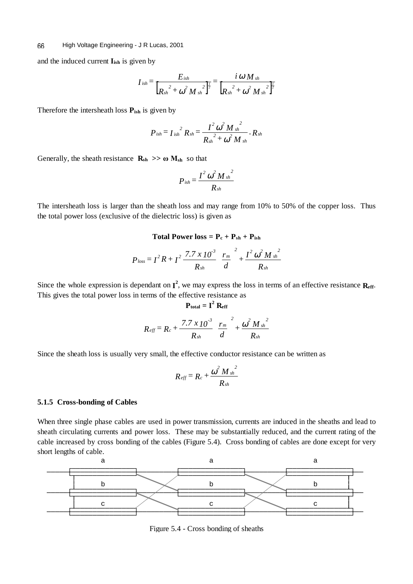#### 66 High Voltage Engineering - J R Lucas, 2001

and the induced current **Iish** is given by

$$
{I}_{ish}\!=\!\frac{E_{ish}}{\left[{R_{sh}}^{2}+{\omega}^{2} \, {M}_{sh}^{-2}\right]^{2}}\!=\!\frac{i \, \omega \, M_{sh}}{\left[{R_{sh}}^{2}+{\omega}^{2} \, {M}_{sh}^{-2}\right]^{2}}
$$

Therefore the intersheath loss **Pish** is given by

$$
P_{ish} = I_{ish}^{2} R_{sh} = \frac{I^{2} \omega^{2} M_{sh}^{2}}{R_{sh}^{2} + \omega^{2} M_{sh}} \cdot R_{sh}
$$

Generally, the sheath resistance  $\mathbf{R}_{sh}$  >>  $\omega \mathbf{M}_{sh}$  so that

$$
P_{ish} = \frac{I^2 \omega^2 M_{sh}^2}{R_{sh}}
$$

The intersheath loss is larger than the sheath loss and may range from 10% to 50% of the copper loss. Thus the total power loss (exclusive of the dielectric loss) is given as

#### **Total Power loss =**  $P_c + P_{sh} + P_{ish}$

$$
P_{loss} = I^2 R + I^2 \frac{7.7 \times 10^{-3}}{R_{sh}} \left(\frac{r_m}{d}\right)^2 + \frac{I^2 \omega^2 M_{sh}^2}{R_{sh}}
$$

Since the whole expression is dependant on  $I^2$ , we may express the loss in terms of an effective resistance  $\mathbf{R}_{\text{eff}}$ . This gives the total power loss in terms of the effective resistance as

$$
\mathbf{P}_{\text{total}} = \mathbf{I}^2 \mathbf{R}_{\text{eff}}
$$

$$
R_{\text{eff}} = R_c + \frac{7.7 \times 10^{-3}}{R_{\text{sh}}} \left(\frac{r_m}{d}\right)^2 + \frac{\omega^2 M_{\text{sh}}^2}{R_{\text{sh}}}
$$

Since the sheath loss is usually very small, the effective conductor resistance can be written as

$$
R_{\textit{eff}} = R_c + \frac{\omega^2 M_{\textit{sh}}^2}{R_{\textit{sh}}}
$$

#### **5.1.5 Cross-bonding of Cables**

When three single phase cables are used in power transmission, currents are induced in the sheaths and lead to sheath circulating currents and power loss. These may be substantially reduced, and the current rating of the cable increased by cross bonding of the cables (Figure 5.4). Cross bonding of cables are done except for very short lengths of cable.



Figure 5.4 - Cross bonding of sheaths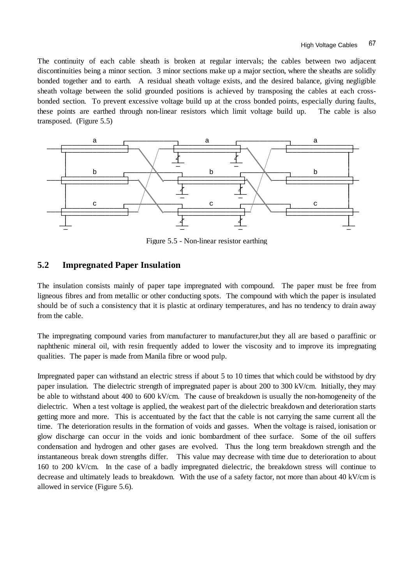The continuity of each cable sheath is broken at regular intervals; the cables between two adjacent discontinuities being a minor section. 3 minor sections make up a major section, where the sheaths are solidly bonded together and to earth. A residual sheath voltage exists, and the desired balance, giving negligible sheath voltage between the solid grounded positions is achieved by transposing the cables at each crossbonded section. To prevent excessive voltage build up at the cross bonded points, especially during faults, these points are earthed through non-linear resistors which limit voltage build up. The cable is also transposed. (Figure 5.5)



Figure 5.5 - Non-linear resistor earthing

# **5.2 Impregnated Paper Insulation**

The insulation consists mainly of paper tape impregnated with compound. The paper must be free from ligneous fibres and from metallic or other conducting spots. The compound with which the paper is insulated should be of such a consistency that it is plastic at ordinary temperatures, and has no tendency to drain away from the cable.

The impregnating compound varies from manufacturer to manufacturer,but they all are based o paraffinic or naphthenic mineral oil, with resin frequently added to lower the viscosity and to improve its impregnating qualities. The paper is made from Manila fibre or wood pulp.

Impregnated paper can withstand an electric stress if about 5 to 10 times that which could be withstood by dry paper insulation. The dielectric strength of impregnated paper is about 200 to 300 kV/cm. Initially, they may be able to withstand about 400 to 600 kV/cm. The cause of breakdown is usually the non-homogeneity of the dielectric. When a test voltage is applied, the weakest part of the dielectric breakdown and deterioration starts getting more and more. This is accentuated by the fact that the cable is not carrying the same current all the time. The deterioration results in the formation of voids and gasses. When the voltage is raised, ionisation or glow discharge can occur in the voids and ionic bombardment of thee surface. Some of the oil suffers condensation and hydrogen and other gases are evolved. Thus the long term breakdown strength and the instantaneous break down strengths differ. This value may decrease with time due to deterioration to about 160 to 200 kV/cm. In the case of a badly impregnated dielectric, the breakdown stress will continue to decrease and ultimately leads to breakdown. With the use of a safety factor, not more than about 40 kV/cm is allowed in service (Figure 5.6).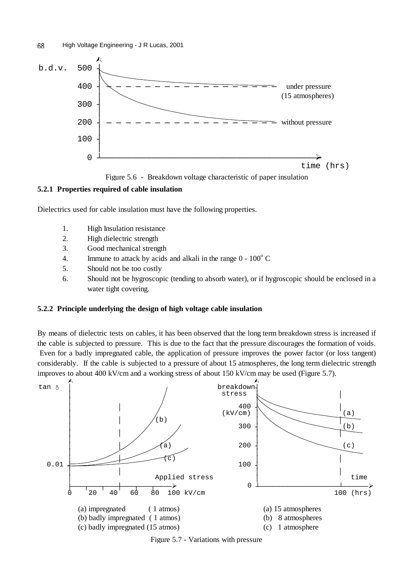

Figure 5.6 - Breakdown voltage characteristic of paper insulation

#### **5.2.1 Properties required of cable insulation**

Dielectrics used for cable insulation must have the following properties.

- 1. High Insulation resistance
- 2. High dielectric strength
- 3. Good mechanical strength
- 4. Immune to attack by acids and alkali in the range  $0 100^{\circ}$  C
	- 5. Should not be too costly
	- 6. Should not be hygroscopic (tending to absorb water), or if hygroscopic should be enclosed in a water tight covering.

# **5.2.2 Principle underlying the design of high voltage cable insulation**

By means of dielectric tests on cables, it has been observed that the long term breakdown stress is increased if the cable is subjected to pressure. This is due to the fact that the pressure discourages the formation of voids. Even for a badly impregnated cable, the application of pressure improves the power factor (or loss tangent) considerably. If the cable is subjected to a pressure of about 15 atmospheres, the long term dielectric strength improves to about 400 kV/cm and a working stress of about 150 kV/cm may be used (Figure 5.7).



Figure 5.7 - Variations with pressure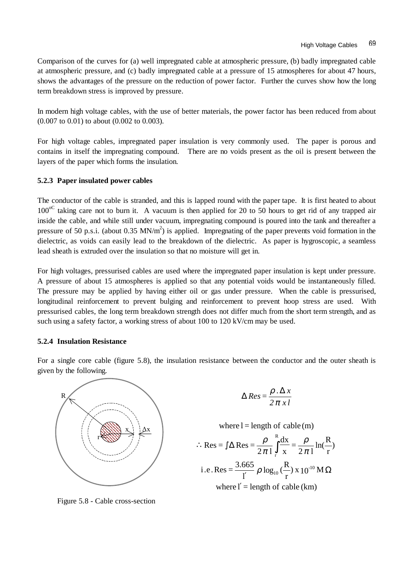)

Comparison of the curves for (a) well impregnated cable at atmospheric pressure, (b) badly impregnated cable at atmospheric pressure, and (c) badly impregnated cable at a pressure of 15 atmospheres for about 47 hours, shows the advantages of the pressure on the reduction of power factor. Further the curves show how the long term breakdown stress is improved by pressure.

In modern high voltage cables, with the use of better materials, the power factor has been reduced from about (0.007 to 0.01) to about (0.002 to 0.003).

For high voltage cables, impregnated paper insulation is very commonly used. The paper is porous and contains in itself the impregnating compound. There are no voids present as the oil is present between the layers of the paper which forms the insulation.

# **5.2.3 Paper insulated power cables**

The conductor of the cable is stranded, and this is lapped round with the paper tape. It is first heated to about  $100^{\circ}$  taking care not to burn it. A vacuum is then applied for 20 to 50 hours to get rid of any trapped air inside the cable, and while still under vacuum, impregnating compound is poured into the tank and thereafter a pressure of 50 p.s.i. (about 0.35 MN/m<sup>2</sup>) is applied. Impregnating of the paper prevents void formation in the dielectric, as voids can easily lead to the breakdown of the dielectric. As paper is hygroscopic, a seamless lead sheath is extruded over the insulation so that no moisture will get in.

For high voltages, pressurised cables are used where the impregnated paper insulation is kept under pressure. A pressure of about 15 atmospheres is applied so that any potential voids would be instantaneously filled. The pressure may be applied by having either oil or gas under pressure. When the cable is pressurised, longitudinal reinforcement to prevent bulging and reinforcement to prevent hoop stress are used. With pressurised cables, the long term breakdown strength does not differ much from the short term strength, and as such using a safety factor, a working stress of about 100 to 120 kV/cm may be used.

# **5.2.4 Insulation Resistance**

For a single core cable (figure 5.8), the insulation resistance between the conductor and the outer sheath is given by the following.



Figure 5.8 - Cable cross-section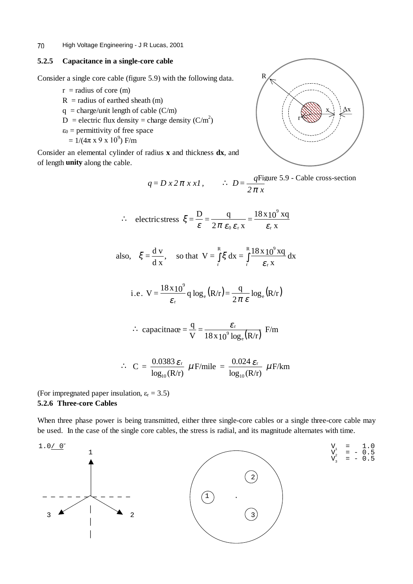#### **5.2.5 Capacitance in a single-core cable**

Consider a single core cable (figure 5.9) with the following data.

- $r =$  radius of core (m)
- $R$  = radius of earthed sheath (m)
- $q = charge/unit length of cable (C/m)$
- D = electric flux density = charge density  $(C/m^2)$ 
	- $\varepsilon_0$  = permittivity of free space
- $= 1/(4\pi \times 9 \times 10^9)$  F/m

Consider an elemental cylinder of radius **x** and thickness **dx**, and of length **unity** along the cable.

$$
\left(\frac{R}{\sqrt{N}}\right)^{1/2}
$$

$$
q = D x 2 \pi x x I
$$
,  $\therefore$   $D = \frac{q \text{Figure 5.9 - Cable cross-section}}{2 \pi x}$ 

$$
\therefore \quad \text{electric stress } \xi = \frac{D}{\varepsilon} = \frac{q}{2\pi \varepsilon_0 \varepsilon_r x} = \frac{18x10^9 xq}{\varepsilon_r x}
$$

also, 
$$
\xi = \frac{d v}{dx}
$$
, so that  $V = \int_{r}^{R} \xi dx = \int_{r}^{R} \frac{18x 10^{9} xq}{\epsilon_r x} dx$ 

i.e. 
$$
V = \frac{18 \times 10^9}{\varepsilon_r} q \log_e (R/r) = \frac{q}{2\pi \varepsilon} \log_e (R/r)
$$

$$
\therefore \text{ capacitance} = \frac{q}{V} = \frac{\varepsilon_r}{18 \times 10^9 \log_e (R/r)} \text{ F/m}
$$

$$
\therefore C = \frac{0.0383 \,\varepsilon_{\rm r}}{\log_{10}(R/\rm r)} \ \mu \,\mathrm{F/mile} = \frac{0.024 \,\varepsilon_{\rm r}}{\log_{10}(R/\rm r)} \ \mu \,\mathrm{F/km}
$$

(For impregnated paper insulation,  $\varepsilon_r = 3.5$ ) **5.2.6 Three-core Cables**

When three phase power is being transmitted, either three single-core cables or a single three-core cable may be used. In the case of the single core cables, the stress is radial, and its magnitude alternates with time.

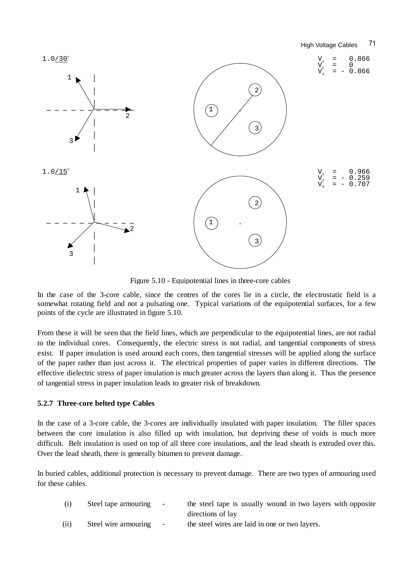# High Voltage Cables 71



Figure 5.10 - Equipotential lines in three-core cables

In the case of the 3-core cable, since the centres of the cores lie in a circle, the electrostatic field is a somewhat rotating field and not a pulsating one. Typical variations of the equipotential surfaces, for a few points of the cycle are illustrated in figure 5.10.

From these it will be seen that the field lines, which are perpendicular to the equipotential lines, are not radial to the individual cores. Consequently, the electric stress is not radial, and tangential components of stress exist. If paper insulation is used around each cores, then tangential stresses will be applied along the surface of the paper rather than just across it. The electrical properties of paper varies in different directions. The effective dielectric stress of paper insulation is much greater across the layers than along it. Thus the presence of tangential stress in paper insulation leads to greater risk of breakdown.

#### **5.2.7 Three-core belted type Cables**

In the case of a 3-core cable, the 3-cores are individually insulated with paper insulation. The filler spaces between the core insulation is also filled up with insulation, but depriving these of voids is much more difficult. Belt insulation is used on top of all three core insulations, and the lead sheath is extruded over this. Over the lead sheath, there is generally bitumen to prevent damage.

In buried cables, additional protection is necessary to prevent damage. There are two types of armouring used for these cables.

|      | Steel tape armouring | the steel tape is usually wound in two layers with opposite |
|------|----------------------|-------------------------------------------------------------|
|      |                      | directions of lay                                           |
| (11) | Steel wire armouring | the steel wires are laid in one or two layers.              |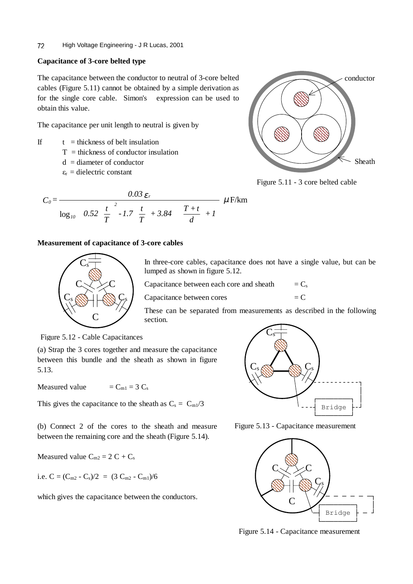# **Capacitance of 3-core belted type**

The capacitance between the conductor to neutral of 3-core belted cables (Figure 5.11) cannot be obtained by a simple derivation as for the single core cable. Simon's expression can be used to obtain this value.

The capacitance per unit length to neutral is given by

- If  $t =$  thickness of belt insulation
	- $T =$  thickness of conductor insulation
	- $d =$  diameter of conductor
	- $\varepsilon_r$  = dielectric constant





$$
C_0 = \frac{0.05 \,\varepsilon_r}{\log_{10}\left[\left(0.52\left(\frac{t}{T}\right)^2 - 1.7\left(\frac{t}{T}\right) + 3.84\right)\left(\frac{T+t}{d}\right) + 1\right]} \mu\,\text{F/km}
$$

*0.03*

# **Measurement of capacitance of 3-core cables**



In three-core cables, capacitance does not have a single value, but can be lumped as shown in figure 5.12.

Capacitance between each core and sheath  $=C<sub>s</sub>$ 

Capacitance between cores  $= C$ 

These can be separated from measurements as described in the following section.

Figure 5.12 - Cable Capacitances

(a) Strap the 3 cores together and measure the capacitance between this bundle and the sheath as shown in figure 5.13.

Measured value  $= C_{m1} = 3 C_s$ 

This gives the capacitance to the sheath as  $C_s = C_{m1}/3$ 

(b) Connect 2 of the cores to the sheath and measure between the remaining core and the sheath (Figure 5.14).

Measured value  $C_{m2} = 2 C + C_s$ 

i.e.  $C = (C_{m2} - C_s)/2 = (3 C_{m2} - C_{m1})/6$ 

which gives the capacitance between the conductors.



Figure 5.13 - Capacitance measurement



Figure 5.14 - Capacitance measurement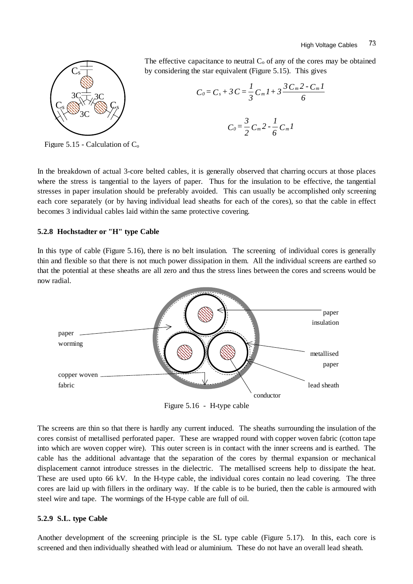

The effective capacitance to neutral  $C<sub>o</sub>$  of any of the cores may be obtained by considering the star equivalent (Figure 5.15). This gives

$$
C_0 = C_s + 3C = \frac{1}{3}C_mI + 3\frac{3C_m2 - C_mI}{6}
$$

$$
C_0 = \frac{3}{2}C_m2 - \frac{1}{6}C_mI
$$

Figure 5.15 - Calculation of  $C_0$ 

In the breakdown of actual 3-core belted cables, it is generally observed that charring occurs at those places where the stress is tangential to the layers of paper. Thus for the insulation to be effective, the tangential stresses in paper insulation should be preferably avoided. This can usually be accomplished only screening each core separately (or by having individual lead sheaths for each of the cores), so that the cable in effect becomes 3 individual cables laid within the same protective covering.

# **5.2.8 Hochstadter or "H" type Cable**

In this type of cable (Figure 5.16), there is no belt insulation. The screening of individual cores is generally thin and flexible so that there is not much power dissipation in them. All the individual screens are earthed so that the potential at these sheaths are all zero and thus the stress lines between the cores and screens would be now radial.



Figure 5.16 - H-type cable

The screens are thin so that there is hardly any current induced. The sheaths surrounding the insulation of the cores consist of metallised perforated paper. These are wrapped round with copper woven fabric (cotton tape into which are woven copper wire). This outer screen is in contact with the inner screens and is earthed. The cable has the additional advantage that the separation of the cores by thermal expansion or mechanical displacement cannot introduce stresses in the dielectric. The metallised screens help to dissipate the heat. These are used upto 66 kV. In the H-type cable, the individual cores contain no lead covering. The three cores are laid up with fillers in the ordinary way. If the cable is to be buried, then the cable is armoured with steel wire and tape. The wormings of the H-type cable are full of oil.

# **5.2.9 S.L. type Cable**

Another development of the screening principle is the SL type cable (Figure 5.17). In this, each core is screened and then individually sheathed with lead or aluminium. These do not have an overall lead sheath.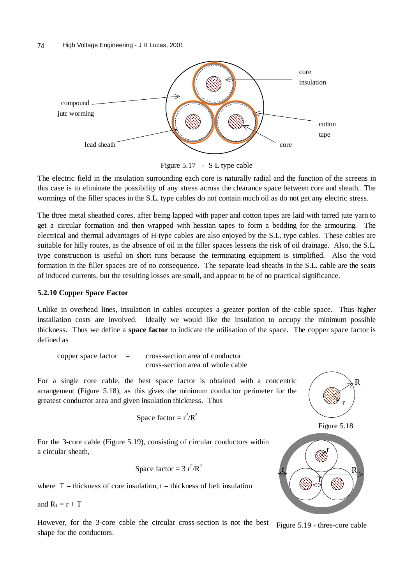

Figure 5.17 - S L type cable

The electric field in the insulation surrounding each core is naturally radial and the function of the screens in this case is to eliminate the possibility of any stress across the clearance space between core and sheath. The wormings of the filler spaces in the S.L. type cables do not contain much oil as do not get any electric stress.

The three metal sheathed cores, after being lapped with paper and cotton tapes are laid with tarred jute yarn to get a circular formation and then wrapped with hessian tapes to form a bedding for the armouring. The electrical and thermal advantages of H-type cables are also enjoyed by the S.L. type cables. These cables are suitable for hilly routes, as the absence of oil in the filler spaces lessens the risk of oil drainage. Also, the S.L. type construction is useful on short runs because the terminating equipment is simplified. Also the void formation in the filler spaces are of no consequence. The separate lead sheaths in the S.L. cable are the seats of induced currents, but the resulting losses are small, and appear to be of no practical significance.

# **5.2.10 Copper Space Factor**

Unlike in overhead lines, insulation in cables occupies a greater portion of the cable space. Thus higher installation costs are involved. Ideally we would like the insulation to occupy the minimum possible thickness. Thus we define a **space factor** to indicate the utilisation of the space. The copper space factor is defined as

copper space factor  $=$  cross-section area of conductor cross-section area of whole cable

For a single core cable, the best space factor is obtained with a concentric arrangement (Figure 5.18), as this gives the minimum conductor perimeter for the greatest conductor area and given insulation thickness. Thus

Space factor = 
$$
r^2/R^2
$$

For the 3-core cable (Figure 5.19), consisting of circular conductors within a circular sheath,

Space factor = 
$$
3 r^2/R^2
$$

where  $T =$  thickness of core insulation,  $t =$  thickness of belt insulation

and  $R_1 = r + T$ 

However, for the 3-core cable the circular cross-section is not the best shape for the conductors.



Figure 5.18



Figure 5.19 - three-core cable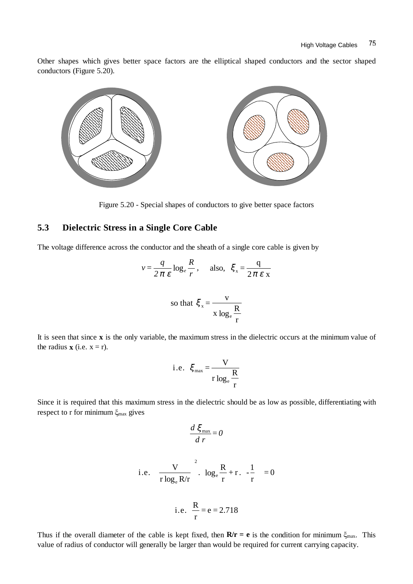Other shapes which gives better space factors are the elliptical shaped conductors and the sector shaped conductors (Figure 5.20).



Figure 5.20 - Special shapes of conductors to give better space factors

# **5.3 Dielectric Stress in a Single Core Cable**

The voltage difference across the conductor and the sheath of a single core cable is given by

$$
v = \frac{q}{2\pi \varepsilon} \log_e \frac{R}{r}
$$
, also,  $\xi_x = \frac{q}{2\pi \varepsilon x}$   
so that  $\xi_x = \frac{v}{x \log_e \frac{R}{r}}$ 

It is seen that since **x** is the only variable, the maximum stress in the dielectric occurs at the minimum value of the radius  $\mathbf{x}$  (i.e.  $x = r$ ).

r

i.e. 
$$
\xi_{\text{max}} = \frac{V}{r \log_e \frac{R}{r}}
$$

Since it is required that this maximum stress in the dielectric should be as low as possible, differentiating with respect to r for minimum  $\xi_{\text{max}}$  gives

$$
\frac{d\xi_{\text{max}}}{dr} = 0
$$

i.e. 
$$
\left[\frac{V}{r \log_e R/r}\right]^2 \cdot \left[\log_e \frac{R}{r} + r \cdot \left(-\frac{1}{r}\right)\right] = 0
$$
  
i.e.  $\frac{R}{r} = e = 2.718$ 

Thus if the overall diameter of the cable is kept fixed, then  $\mathbf{R}/\mathbf{r} = \mathbf{e}$  is the condition for minimum  $\xi_{\text{max}}$ . This value of radius of conductor will generally be larger than would be required for current carrying capacity.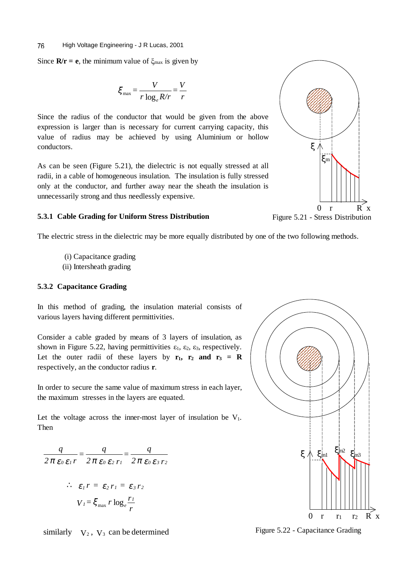Since  $\mathbf{R}/\mathbf{r} = \mathbf{e}$ , the minimum value of  $\xi_{\text{max}}$  is given by

$$
\xi_{\text{max}} = \frac{V}{r \log_e R/r} = \frac{V}{r}
$$

Since the radius of the conductor that would be given from the above expression is larger than is necessary for current carrying capacity, this value of radius may be achieved by using Aluminium or hollow conductors.

As can be seen (Figure 5.21), the dielectric is not equally stressed at all radii, in a cable of homogeneous insulation. The insulation is fully stressed only at the conductor, and further away near the sheath the insulation is unnecessarily strong and thus needlessly expensive.

## **5.3.1 Cable Grading for Uniform Stress Distribution**

The electric stress in the dielectric may be more equally distributed by one of the two following methods.

- (i) Capacitance grading
- (ii) Intersheath grading

# **5.3.2 Capacitance Grading**

In this method of grading, the insulation material consists of various layers having different permittivities.

Consider a cable graded by means of 3 layers of insulation, as shown in Figure 5.22, having permittivities  $\varepsilon_1$ ,  $\varepsilon_2$ ,  $\varepsilon_3$ , respectively. Let the outer radii of these layers by  $r_1$ ,  $r_2$  and  $r_3 = R$ respectively, an the conductor radius **r**.

In order to secure the same value of maximum stress in each layer, the maximum stresses in the layers are equated.

Let the voltage across the inner-most layer of insulation be  $V_1$ . Then

$$
\frac{q}{2\pi \varepsilon_0 \varepsilon_1 r} = \frac{q}{2\pi \varepsilon_0 \varepsilon_2 r_1} = \frac{q}{2\pi \varepsilon_0 \varepsilon_3 r_2}
$$
  

$$
\therefore \varepsilon_1 r = \varepsilon_2 r_1 = \varepsilon_3 r_2
$$
  

$$
V_1 = \xi_{\text{max}} r \log_e \frac{r_1}{r}
$$

similarly  $V_2$ ,  $V_3$  can be determined







Figure 5.22 - Capacitance Grading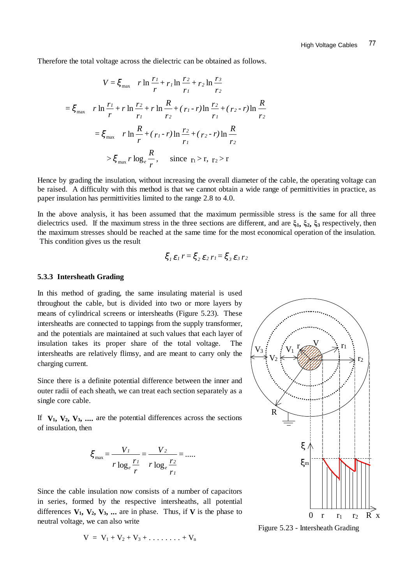Therefore the total voltage across the dielectric can be obtained as follows.

$$
V = \xi_{\max} \left( r \ln \frac{r_1}{r} + r_1 \ln \frac{r_2}{r_1} + r_2 \ln \frac{r_3}{r_2} \right)
$$
  

$$
= \xi_{\max} \left( r \ln \frac{r_1}{r} + r \ln \frac{r_2}{r_1} + r \ln \frac{R}{r_2} + (r_1 - r) \ln \frac{r_2}{r_1} + (r_2 - r) \ln \frac{R}{r_2} \right)
$$
  

$$
= \xi_{\max} \left( r \ln \frac{R}{r} + (r_1 - r) \ln \frac{r_2}{r_1} + (r_2 - r) \ln \frac{R}{r_2} \right)
$$
  

$$
> \xi_{\max} r \log_e \frac{R}{r}, \text{ since } r_1 > r, r_2 > r
$$

Hence by grading the insulation, without increasing the overall diameter of the cable, the operating voltage can be raised. A difficulty with this method is that we cannot obtain a wide range of permittivities in practice, as paper insulation has permittivities limited to the range 2.8 to 4.0.

In the above analysis, it has been assumed that the maximum permissible stress is the same for all three dielectrics used. If the maximum stress in the three sections are different, and are  $\xi_1$ ,  $\xi_2$ ,  $\xi_3$  respectively, then the maximum stresses should be reached at the same time for the most economical operation of the insulation. This condition gives us the result

$$
\xi_1\varepsilon_1 r = \xi_2\varepsilon_2 r_1 = \xi_3\varepsilon_3 r_2
$$

#### **5.3.3 Intersheath Grading**

In this method of grading, the same insulating material is used throughout the cable, but is divided into two or more layers by means of cylindrical screens or intersheaths (Figure 5.23). These intersheaths are connected to tappings from the supply transformer, and the potentials are maintained at such values that each layer of insulation takes its proper share of the total voltage. The intersheaths are relatively flimsy, and are meant to carry only the charging current.

Since there is a definite potential difference between the inner and outer radii of each sheath, we can treat each section separately as a single core cable.

If  $V_1$ ,  $V_2$ ,  $V_3$ , .... are the potential differences across the sections of insulation, then

$$
\xi_{\max} = \frac{V_I}{r \log_e \frac{r_I}{r}} = \frac{V_2}{r \log_e \frac{r_2}{r_I}} = \dots
$$

Since the cable insulation now consists of a number of capacitors in series, formed by the respective intersheaths, all potential differences  $V_1$ ,  $V_2$ ,  $V_3$ , ... are in phase. Thus, if **V** is the phase to neutral voltage, we can also write

$$
V = V_1 + V_2 + V_3 + \ldots + V_n
$$



Figure 5.23 - Intersheath Grading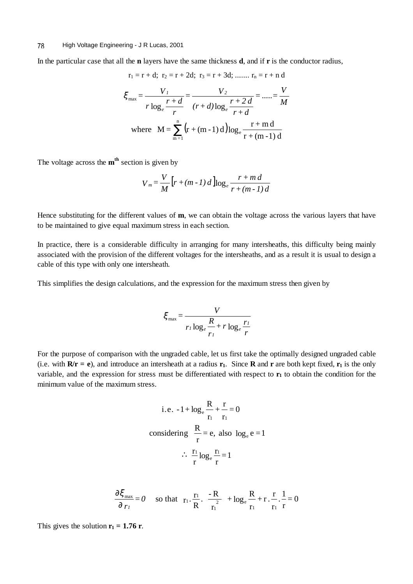#### 78 High Voltage Engineering - J R Lucas, 2001

In the particular case that all the **n** layers have the same thickness **d**, and if **r** is the conductor radius,

$$
r_1 = r + d; r_2 = r + 2d; r_3 = r + 3d; \dots, r_n = r + n d
$$

$$
\xi_{\text{max}} = \frac{V_1}{r \log_e \frac{r + d}{r}} = \frac{V_2}{(r + d) \log_e \frac{r + 2 d}{r + d}} = \dots = \frac{V}{M}
$$
  
where  $M = \sum_{m=1}^{n} (r + (m - 1) d) \log_e \frac{r + m d}{r + (m - 1) d}$ 

The voltage across the **m<sup>th</sup>** section is given by

$$
V_m = \frac{V}{M} \left[ r + (m - 1) d \right] \log_e \frac{r + m d}{r + (m - 1) d}
$$

Hence substituting for the different values of **m**, we can obtain the voltage across the various layers that have to be maintained to give equal maximum stress in each section.

In practice, there is a considerable difficulty in arranging for many intersheaths, this difficulty being mainly associated with the provision of the different voltages for the intersheaths, and as a result it is usual to design a cable of this type with only one intersheath.

This simplifies the design calculations, and the expression for the maximum stress then given by

$$
\xi_{\max} = \frac{V}{r_l \log_e \frac{R}{r_l} + r \log_e \frac{r_l}{r}}
$$

For the purpose of comparison with the ungraded cable, let us first take the optimally designed ungraded cable (i.e. with  $R/r = e$ ), and introduce an intersheath at a radius  $r_1$ . Since **R** and **r** are both kept fixed,  $r_1$  is the only variable, and the expression for stress must be differentiated with respect to  $\mathbf{r}_1$  to obtain the condition for the minimum value of the maximum stress.

i.e. 
$$
-1 + \log_e \frac{R}{r_1} + \frac{r}{r_1} = 0
$$
  
considering  $\frac{R}{r} = e$ , also  $\log_e e = 1$   
 $\therefore \frac{r_1}{r} \log_e \frac{r_1}{r} = 1$ 

$$
\frac{\partial \xi_{\max}}{\partial r_1} = 0 \quad \text{so that} \quad r_1 \cdot \frac{r_1}{R} \cdot \left(\frac{-R}{r_1^2}\right) + \log_e \frac{R}{r_1} + r \cdot \frac{r}{r_1} \cdot \frac{1}{r} = 0
$$

This gives the solution  $r_1 = 1.76$  r.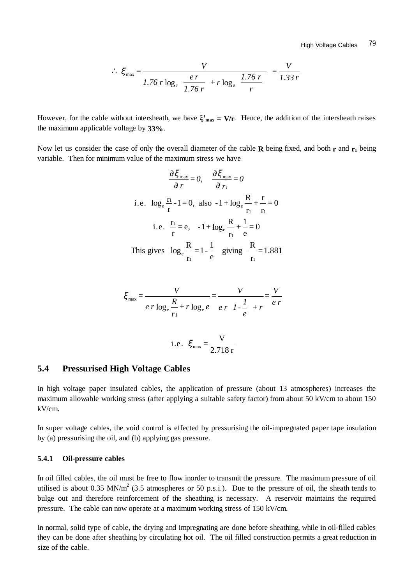# High Voltage Cables 79

$$
\therefore \xi_{\text{max}} = \frac{V}{1.76 \, r \log_e \left(\frac{e \, r}{1.76 \, r}\right) + r \log_e \left(\frac{1.76 \, r}{r}\right)} = \frac{V}{1.33 \, r}
$$

However, for the cable without intersheath, we have  $\xi'_{max} = V/r$ . Hence, the addition of the intersheath raises the maximum applicable voltage by **33%**.

Now let us consider the case of only the overall diameter of the cable  $\bf{R}$  being fixed, and both  $\bf{r}$  and  $\bf{r}_1$  being variable. Then for minimum value of the maximum stress we have

$$
\frac{\partial \xi_{\text{max}}}{\partial r} = 0, \quad \frac{\partial \xi_{\text{max}}}{\partial r_1} = 0
$$
  
i.e.  $\log_e \frac{r_1}{r} - 1 = 0$ , also  $-1 + \log_e \frac{R}{r_1} + \frac{r}{r_1} = 0$   
i.e.  $\frac{r_1}{r} = e$ ,  $-1 + \log_e \frac{R}{r_1} + \frac{1}{e} = 0$   
This gives  $\log_e \frac{R}{r_1} = 1 - \frac{1}{e}$  giving  $\frac{R}{r_1} = 1.881$ 

$$
\xi_{\text{max}} = \frac{V}{e r \log_e \frac{R}{r_1} + r \log_e e} = \frac{V}{e r \left(1 - \frac{I}{e}\right) + r} = \frac{V}{e r}
$$
  
i.e. 
$$
\xi_{\text{max}} = \frac{V}{2.718 r}
$$

# **5.4 Pressurised High Voltage Cables**

In high voltage paper insulated cables, the application of pressure (about 13 atmospheres) increases the maximum allowable working stress (after applying a suitable safety factor) from about 50 kV/cm to about 150 kV/cm.

In super voltage cables, the void control is effected by pressurising the oil-impregnated paper tape insulation by (a) pressurising the oil, and (b) applying gas pressure.

#### **5.4.1 Oil-pressure cables**

In oil filled cables, the oil must be free to flow inorder to transmit the pressure. The maximum pressure of oil utilised is about 0.35 MN/m<sup>2</sup> (3.5 atmospheres or 50 p.s.i.). Due to the pressure of oil, the sheath tends to bulge out and therefore reinforcement of the sheathing is necessary. A reservoir maintains the required pressure. The cable can now operate at a maximum working stress of 150 kV/cm.

In normal, solid type of cable, the drying and impregnating are done before sheathing, while in oil-filled cables they can be done after sheathing by circulating hot oil. The oil filled construction permits a great reduction in size of the cable.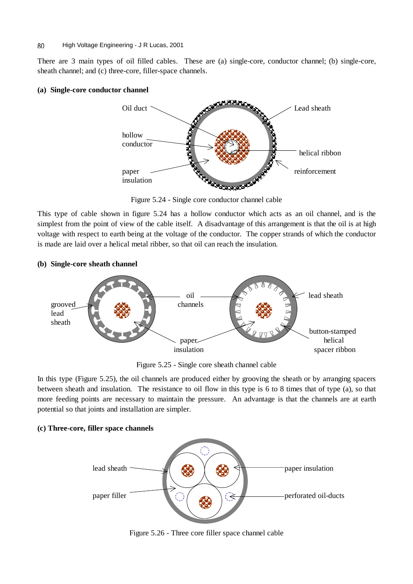#### 80 High Voltage Engineering - J R Lucas, 2001

There are 3 main types of oil filled cables. These are (a) single-core, conductor channel; (b) single-core, sheath channel; and (c) three-core, filler-space channels.

#### **(a) Single-core conductor channel**



Figure 5.24 - Single core conductor channel cable

This type of cable shown in figure 5.24 has a hollow conductor which acts as an oil channel, and is the simplest from the point of view of the cable itself. A disadvantage of this arrangement is that the oil is at high voltage with respect to earth being at the voltage of the conductor. The copper strands of which the conductor is made are laid over a helical metal ribber, so that oil can reach the insulation.

# **(b) Single-core sheath channel**



Figure 5.25 - Single core sheath channel cable

In this type (Figure 5.25), the oil channels are produced either by grooving the sheath or by arranging spacers between sheath and insulation. The resistance to oil flow in this type is 6 to 8 times that of type (a), so that more feeding points are necessary to maintain the pressure. An advantage is that the channels are at earth potential so that joints and installation are simpler.

# **(c) Three-core, filler space channels**



Figure 5.26 - Three core filler space channel cable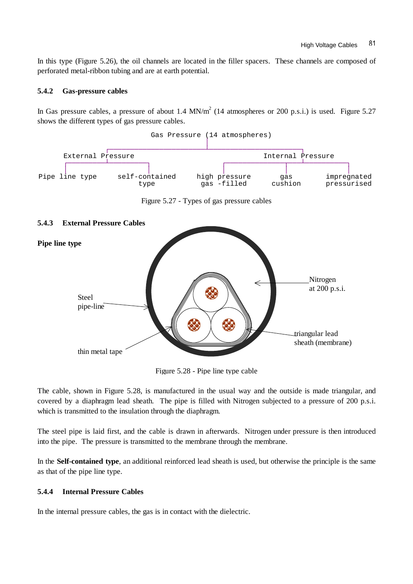In this type (Figure 5.26), the oil channels are located in the filler spacers. These channels are composed of perforated metal-ribbon tubing and are at earth potential.

# **5.4.2 Gas-pressure cables**

In Gas pressure cables, a pressure of about 1.4  $MN/m<sup>2</sup>$  (14 atmospheres or 200 p.s.i.) is used. Figure 5.27 shows the different types of gas pressure cables.



Figure 5.28 - Pipe line type cable

The cable, shown in Figure 5.28, is manufactured in the usual way and the outside is made triangular, and covered by a diaphragm lead sheath. The pipe is filled with Nitrogen subjected to a pressure of 200 p.s.i. which is transmitted to the insulation through the diaphragm.

The steel pipe is laid first, and the cable is drawn in afterwards. Nitrogen under pressure is then introduced into the pipe. The pressure is transmitted to the membrane through the membrane.

In the **Self-contained type**, an additional reinforced lead sheath is used, but otherwise the principle is the same as that of the pipe line type.

# **5.4.4 Internal Pressure Cables**

In the internal pressure cables, the gas is in contact with the dielectric.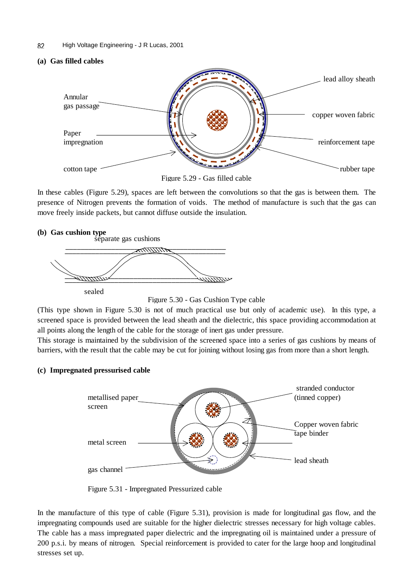#### 82 High Voltage Engineering - J R Lucas, 2001

#### **(a) Gas filled cables**



In these cables (Figure 5.29), spaces are left between the convolutions so that the gas is between them. The presence of Nitrogen prevents the formation of voids. The method of manufacture is such that the gas can move freely inside packets, but cannot diffuse outside the insulation.

#### **(b) Gas cushion type**





(This type shown in Figure 5.30 is not of much practical use but only of academic use). In this type, a screened space is provided between the lead sheath and the dielectric, this space providing accommodation at all points along the length of the cable for the storage of inert gas under pressure.

This storage is maintained by the subdivision of the screened space into a series of gas cushions by means of barriers, with the result that the cable may be cut for joining without losing gas from more than a short length.

# **(c) Impregnated pressurised cable**



Figure 5.31 - Impregnated Pressurized cable

In the manufacture of this type of cable (Figure 5.31), provision is made for longitudinal gas flow, and the impregnating compounds used are suitable for the higher dielectric stresses necessary for high voltage cables. The cable has a mass impregnated paper dielectric and the impregnating oil is maintained under a pressure of 200 p.s.i. by means of nitrogen. Special reinforcement is provided to cater for the large hoop and longitudinal stresses set up.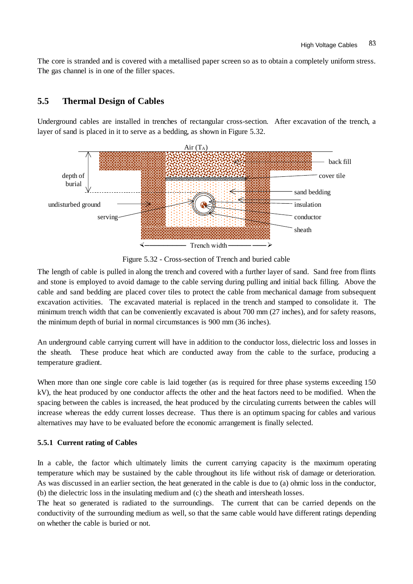The core is stranded and is covered with a metallised paper screen so as to obtain a completely uniform stress. The gas channel is in one of the filler spaces.

# **5.5 Thermal Design of Cables**

Underground cables are installed in trenches of rectangular cross-section. After excavation of the trench, a layer of sand is placed in it to serve as a bedding, as shown in Figure 5.32.



Figure 5.32 - Cross-section of Trench and buried cable

The length of cable is pulled in along the trench and covered with a further layer of sand. Sand free from flints and stone is employed to avoid damage to the cable serving during pulling and initial back filling. Above the cable and sand bedding are placed cover tiles to protect the cable from mechanical damage from subsequent excavation activities. The excavated material is replaced in the trench and stamped to consolidate it. The minimum trench width that can be conveniently excavated is about 700 mm (27 inches), and for safety reasons, the minimum depth of burial in normal circumstances is 900 mm (36 inches).

An underground cable carrying current will have in addition to the conductor loss, dielectric loss and losses in the sheath. These produce heat which are conducted away from the cable to the surface, producing a temperature gradient.

When more than one single core cable is laid together (as is required for three phase systems exceeding 150 kV), the heat produced by one conductor affects the other and the heat factors need to be modified. When the spacing between the cables is increased, the heat produced by the circulating currents between the cables will increase whereas the eddy current losses decrease. Thus there is an optimum spacing for cables and various alternatives may have to be evaluated before the economic arrangement is finally selected.

# **5.5.1 Current rating of Cables**

In a cable, the factor which ultimately limits the current carrying capacity is the maximum operating temperature which may be sustained by the cable throughout its life without risk of damage or deterioration. As was discussed in an earlier section, the heat generated in the cable is due to (a) ohmic loss in the conductor, (b) the dielectric loss in the insulating medium and (c) the sheath and intersheath losses.

The heat so generated is radiated to the surroundings. The current that can be carried depends on the conductivity of the surrounding medium as well, so that the same cable would have different ratings depending on whether the cable is buried or not.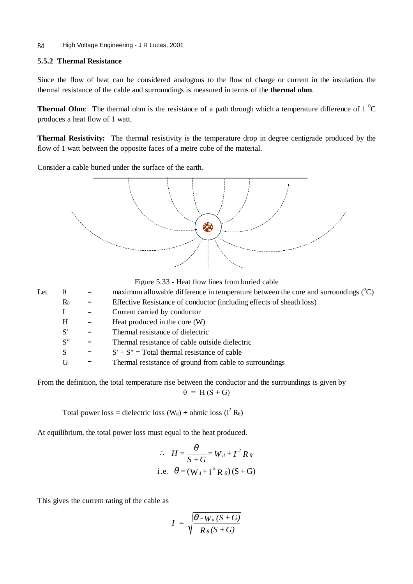#### 84 High Voltage Engineering - J R Lucas, 2001

# **5.5.2 Thermal Resistance**

Since the flow of heat can be considered analogous to the flow of charge or current in the insulation, the thermal resistance of the cable and surroundings is measured in terms of the **thermal ohm**.

**Thermal Ohm**: The thermal ohm is the resistance of a path through which a temperature difference of  $1<sup>0</sup>C$ produces a heat flow of 1 watt.

**Thermal Resistivity:** The thermal resistivity is the temperature drop in degree centigrade produced by the flow of 1 watt between the opposite faces of a metre cube of the material.

Consider a cable buried under the surface of the earth.



Figure 5.33 - Heat flow lines from buried cable

| Let | $\theta$              | $=$     | maximum allowable difference in temperature between the core and surroundings $({}^{\circ}C)$ |  |  |
|-----|-----------------------|---------|-----------------------------------------------------------------------------------------------|--|--|
|     | $\mathbf{R}_{\theta}$ | $=$     | Effective Resistance of conductor (including effects of sheath loss)                          |  |  |
|     |                       | $=$     | Current carried by conductor                                                                  |  |  |
|     | H                     | $=$     | Heat produced in the core $(W)$                                                               |  |  |
|     | S'                    | $=$ $-$ | Thermal resistance of dielectric                                                              |  |  |
|     | S''                   | $=$     | Thermal resistance of cable outside dielectric                                                |  |  |
|     | S                     | $=$ $-$ | $S' + S'' = \text{Total thermal resistance of cable}$                                         |  |  |
|     | G                     | $=$     | Thermal resistance of ground from cable to surroundings                                       |  |  |

From the definition, the total temperature rise between the conductor and the surroundings is given by  $\theta = H(S + G)$ 

Total power loss = dielectric loss ( $W_d$ ) + ohmic loss ( $I^2 R_{\theta}$ )

At equilibrium, the total power loss must equal to the heat produced.

$$
\therefore H = \frac{\theta}{S+G} = W_d + I^2 R_\theta
$$
  
i.e.  $\theta = (W_d + I^2 R_\theta)(S+G)$ 

This gives the current rating of the cable as

$$
I = \sqrt{\frac{\theta \cdot W_d(S+G)}{R_\theta(S+G)}}
$$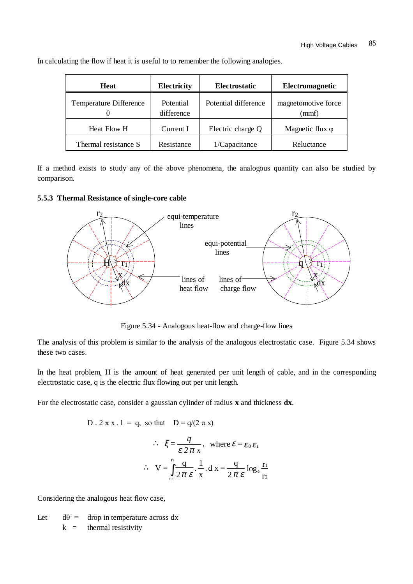| <b>Heat</b>                   | <b>Electricity</b>      | <b>Electrostatic</b> | Electromagnetic              |
|-------------------------------|-------------------------|----------------------|------------------------------|
| <b>Temperature Difference</b> | Potential<br>difference | Potential difference | magnetomotive force<br>(mmf) |
| Heat Flow H                   | Current I               | Electric charge Q    | Magnetic flux $\varphi$      |
| Thermal resistance S          | Resistance              | 1/Capacitance        | Reluctance                   |

In calculating the flow if heat it is useful to to remember the following analogies.

If a method exists to study any of the above phenomena, the analogous quantity can also be studied by comparison.

# **5.5.3 Thermal Resistance of single-core cable**



Figure 5.34 - Analogous heat-flow and charge-flow lines

The analysis of this problem is similar to the analysis of the analogous electrostatic case. Figure 5.34 shows these two cases.

In the heat problem, H is the amount of heat generated per unit length of cable, and in the corresponding electrostatic case, q is the electric flux flowing out per unit length.

For the electrostatic case, consider a gaussian cylinder of radius **x** and thickness **dx**.

D. 
$$
2 \pi x
$$
. 1 = q, so that D = q/(2  $\pi$  x)

$$
\therefore \xi = \frac{q}{\varepsilon 2 \pi x}, \text{ where } \varepsilon = \varepsilon_0 \varepsilon_r
$$
  

$$
\therefore \mathbf{V} = \int_{r_2}^{r_1} \frac{q}{2 \pi \varepsilon} \cdot \frac{1}{x} dx = \frac{q}{2 \pi \varepsilon} \log_e \frac{r_1}{r_2}
$$

Considering the analogous heat flow case,

Let  $d\theta =$  drop in temperature across dx  $k =$  thermal resistivity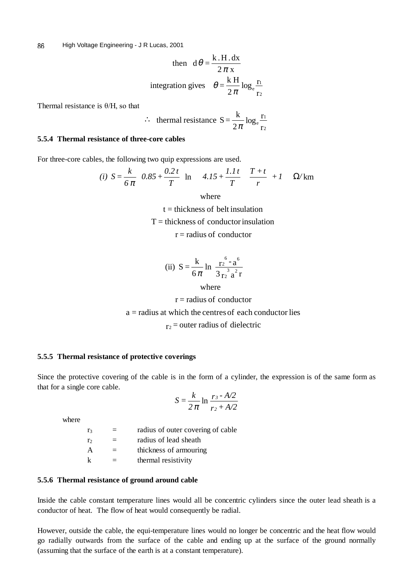then 
$$
d\theta = \frac{k.H.dx}{2\pi x}
$$
  
integration gives  $\theta = \frac{kH}{2\pi} \log_e \frac{r_1}{r_2}$ 

Thermal resistance is  $\theta/H$ , so that

$$
\therefore \text{ thermal resistance } S = \frac{k}{2\pi} \log_e \frac{r_1}{r_2}
$$

#### **5.5.4 Thermal resistance of three-core cables**

For three-core cables, the following two quip expressions are used.

(i) 
$$
S = \frac{k}{6 \pi} \left( 0.85 + \frac{0.2 t}{T} \right) \ln \left[ \left( 4.15 + \frac{1.1 t}{T} \right) \left( \frac{T + t}{r} \right) + 1 \right] \ \Omega / \text{km}
$$

where

 $t =$  thickness of belt insulation

 $T =$  thickness of conductor insulation

 $r =$  radius of conductor

(ii) 
$$
S = \frac{k}{6 \pi} \ln \left[ \frac{r_2^6 - a^6}{3 r_2^3 a^2 r} \right]
$$

where

 $r =$  radius of conductor

 $a =$  radius at which the centres of each conductor lies

 $r_2$  = outer radius of dielectric

# **5.5.5 Thermal resistance of protective coverings**

Since the protective covering of the cable is in the form of a cylinder, the expression is of the same form as that for a single core cable.

$$
S = \frac{k}{2 \pi} \ln \frac{r_3 - A/2}{r_2 + A/2}
$$

where

 $r_3$  = radius of outer covering of cable  $r_2$  = radius of lead sheath  $A =$  thickness of armouring  $k =$  thermal resistivity

#### **5.5.6 Thermal resistance of ground around cable**

Inside the cable constant temperature lines would all be concentric cylinders since the outer lead sheath is a conductor of heat. The flow of heat would consequently be radial.

However, outside the cable, the equi-temperature lines would no longer be concentric and the heat flow would go radially outwards from the surface of the cable and ending up at the surface of the ground normally (assuming that the surface of the earth is at a constant temperature).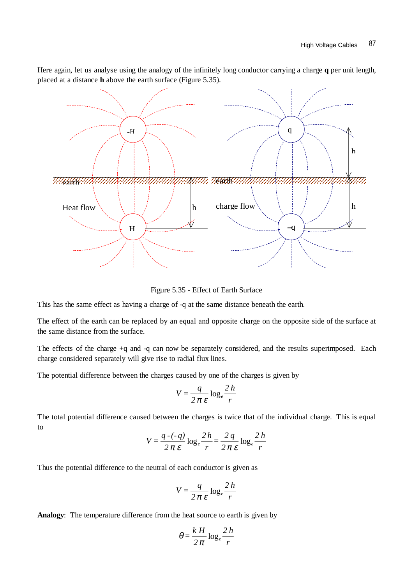Here again, let us analyse using the analogy of the infinitely long conductor carrying a charge **q** per unit length, placed at a distance **h** above the earth surface (Figure 5.35).



Figure 5.35 - Effect of Earth Surface

This has the same effect as having a charge of -q at the same distance beneath the earth.

The effect of the earth can be replaced by an equal and opposite charge on the opposite side of the surface at the same distance from the surface.

The effects of the charge  $+q$  and  $-q$  can now be separately considered, and the results superimposed. Each charge considered separately will give rise to radial flux lines.

The potential difference between the charges caused by one of the charges is given by

$$
V = \frac{q}{2\,\pi\,\varepsilon} \log_e \frac{2\,h}{r}
$$

The total potential difference caused between the charges is twice that of the individual charge. This is equal to

$$
V = \frac{q(-q)}{2\pi\varepsilon} \log_e \frac{2h}{r} = \frac{2q}{2\pi\varepsilon} \log_e \frac{2h}{r}
$$

Thus the potential difference to the neutral of each conductor is given as

$$
V = \frac{q}{2\,\pi\,\varepsilon} \log_e \frac{2\,h}{r}
$$

**Analogy**: The temperature difference from the heat source to earth is given by

$$
\theta = \frac{k}{2\pi} \log_e \frac{2h}{r}
$$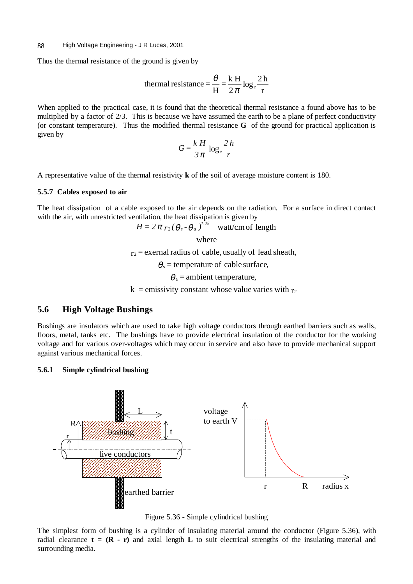Thus the thermal resistance of the ground is given by

thermal resistance = 
$$
\frac{\theta}{H} = \frac{kH}{2\pi} \log_e \frac{2h}{r}
$$

When applied to the practical case, it is found that the theoretical thermal resistance a found above has to be multiplied by a factor of 2/3. This is because we have assumed the earth to be a plane of perfect conductivity (or constant temperature). Thus the modified thermal resistance **G** of the ground for practical application is given by

$$
G = \frac{k}{3\pi} \log_e \frac{2h}{r}
$$

A representative value of the thermal resistivity **k** of the soil of average moisture content is 180.

#### **5.5.7 Cables exposed to air**

The heat dissipation of a cable exposed to the air depends on the radiation. For a surface in direct contact with the air, with unrestricted ventilation, the heat dissipation is given by

 $H = 2 \pi r_2 (\theta_s - \theta_a)^{1.25}$  watt/cm of length

where

 $r_2$  = exernal radius of cable, usually of lead sheath,

 $\theta_s$  = temperature of cable surface,

 $\theta_a$  = ambient temperature,

 $k =$  emissivity constant whose value varies with  $r_2$ 

# **5.6 High Voltage Bushings**

Bushings are insulators which are used to take high voltage conductors through earthed barriers such as walls, floors, metal, tanks etc. The bushings have to provide electrical insulation of the conductor for the working voltage and for various over-voltages which may occur in service and also have to provide mechanical support against various mechanical forces.

#### **5.6.1 Simple cylindrical bushing**



Figure 5.36 - Simple cylindrical bushing

The simplest form of bushing is a cylinder of insulating material around the conductor (Figure 5.36), with radial clearance  $t = (R - r)$  and axial length **L** to suit electrical strengths of the insulating material and surrounding media.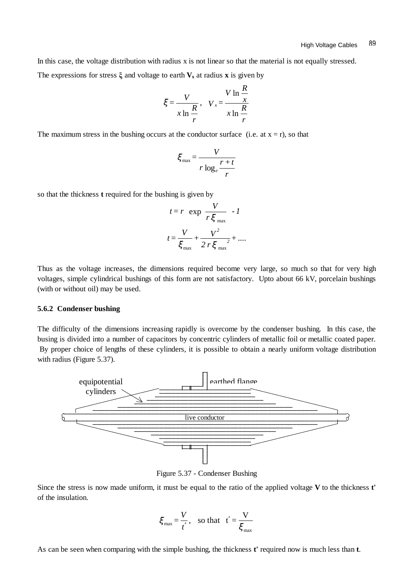In this case, the voltage distribution with radius x is not linear so that the material is not equally stressed.

The expressions for stress  $\xi$  and voltage to earth  $V_x$  at radius  $x$  is given by

$$
\xi = \frac{V}{x \ln \frac{R}{r}}, \quad V_x = \frac{V \ln \frac{R}{x}}{x \ln \frac{R}{r}}
$$

The maximum stress in the bushing occurs at the conductor surface (i.e. at  $x = r$ ), so that

$$
\xi_{\max} = \frac{V}{r \log_e \frac{r+t}{r}}
$$

so that the thickness **t** required for the bushing is given by

$$
t = r \left[ \exp\left(\frac{V}{r \xi_{\text{max}}}\right) - I \right]
$$

$$
t = \frac{V}{\xi_{\text{max}}} + \frac{V^2}{2 r \xi_{\text{max}}} + \dots
$$

Thus as the voltage increases, the dimensions required become very large, so much so that for very high voltages, simple cylindrical bushings of this form are not satisfactory. Upto about 66 kV, porcelain bushings (with or without oil) may be used.

#### **5.6.2 Condenser bushing**

The difficulty of the dimensions increasing rapidly is overcome by the condenser bushing. In this case, the busing is divided into a number of capacitors by concentric cylinders of metallic foil or metallic coated paper. By proper choice of lengths of these cylinders, it is possible to obtain a nearly uniform voltage distribution with radius (Figure 5.37).



Figure 5.37 - Condenser Bushing

Since the stress is now made uniform, it must be equal to the ratio of the applied voltage **V** to the thickness **t'** of the insulation.

$$
\xi_{\text{max}} = \frac{V}{t'}
$$
, so that  $t' = \frac{V}{\xi_{\text{max}}}$ 

As can be seen when comparing with the simple bushing, the thickness **t'** required now is much less than **t**.